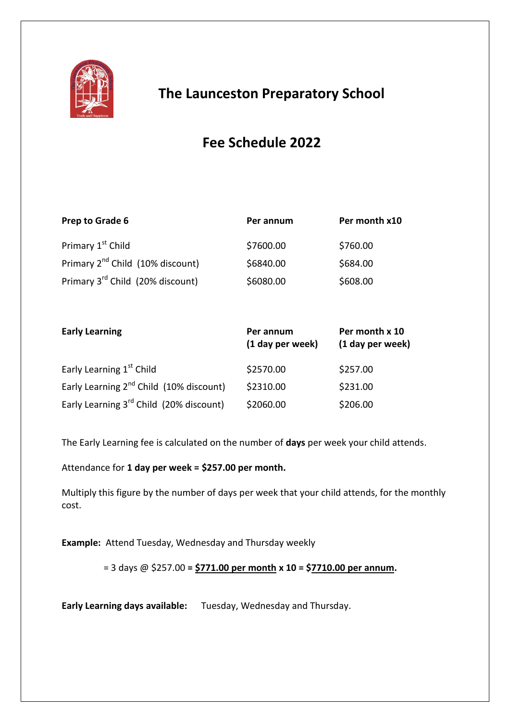

## **The Launceston Preparatory School**

# **Fee Schedule 2022**

| Prep to Grade 6                              | Per annum | Per month x10 |
|----------------------------------------------|-----------|---------------|
| Primary 1 <sup>st</sup> Child                | \$7600.00 | \$760.00      |
| Primary 2 <sup>nd</sup> Child (10% discount) | \$6840.00 | \$684.00      |
| Primary 3 <sup>rd</sup> Child (20% discount) | \$6080.00 | \$608.00      |

| <b>Early Learning</b>                               | Per annum<br>(1 day per week) | Per month x 10<br>(1 day per week) |
|-----------------------------------------------------|-------------------------------|------------------------------------|
| Early Learning 1 <sup>st</sup> Child                | \$2570.00                     | \$257.00                           |
| Early Learning 2 <sup>nd</sup> Child (10% discount) | \$2310.00                     | \$231.00                           |
| Early Learning 3 <sup>rd</sup> Child (20% discount) | \$2060.00                     | \$206.00                           |

The Early Learning fee is calculated on the number of **days** per week your child attends.

Attendance for **1 day per week = \$257.00 per month.**

Multiply this figure by the number of days per week that your child attends, for the monthly cost.

**Example:** Attend Tuesday, Wednesday and Thursday weekly

= 3 days @ \$257.00 **= \$771.00 per month x 10 = \$7710.00 per annum.**

**Early Learning days available:** Tuesday, Wednesday and Thursday.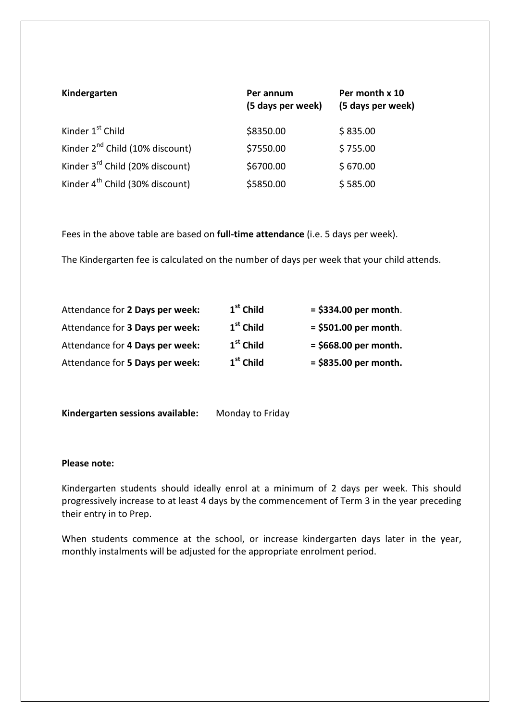| Kindergarten                                | Per annum<br>(5 days per week) | Per month x 10<br>(5 days per week) |
|---------------------------------------------|--------------------------------|-------------------------------------|
| Kinder 1 <sup>st</sup> Child                | \$8350.00                      | \$835.00                            |
| Kinder 2 <sup>nd</sup> Child (10% discount) | \$7550.00                      | \$755.00                            |
| Kinder 3 <sup>rd</sup> Child (20% discount) | \$6700.00                      | \$670.00                            |
| Kinder 4 <sup>th</sup> Child (30% discount) | \$5850.00                      | \$585.00                            |

Fees in the above table are based on **full-time attendance** (i.e. 5 days per week).

The Kindergarten fee is calculated on the number of days per week that your child attends.

| Attendance for 2 Days per week: | $1st$ Child | $=$ \$334.00 per month. |
|---------------------------------|-------------|-------------------------|
| Attendance for 3 Days per week: | $1st$ Child | $=$ \$501.00 per month. |
| Attendance for 4 Days per week: | $1st$ Child | $=$ \$668.00 per month. |
| Attendance for 5 Days per week: | $1st$ Child | $=$ \$835.00 per month. |

**Kindergarten sessions available:** Monday to Friday

## **Please note:**

Kindergarten students should ideally enrol at a minimum of 2 days per week. This should progressively increase to at least 4 days by the commencement of Term 3 in the year preceding their entry in to Prep.

When students commence at the school, or increase kindergarten days later in the year, monthly instalments will be adjusted for the appropriate enrolment period.